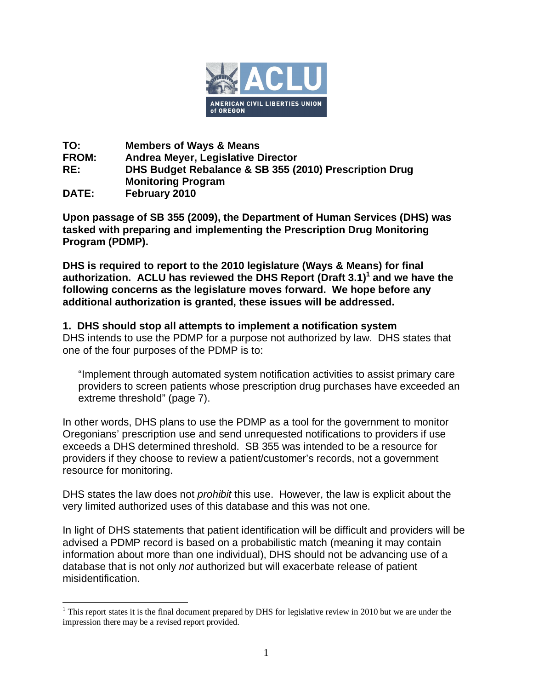

**TO: Members of Ways & Means FROM: Andrea Meyer, Legislative Director RE: DHS Budget Rebalance & SB 355 (2010) Prescription Drug Monitoring Program DATE: February 2010**

**Upon passage of SB 355 (2009), the Department of Human Services (DHS) was tasked with preparing and implementing the Prescription Drug Monitoring Program (PDMP).** 

**DHS is required to report to the 2010 legislature (Ways & Means) for final authorization. ACLU has reviewed the DHS Report (Draft 3.1)<sup>1</sup> and we have the following concerns as the legislature moves forward. We hope before any additional authorization is granted, these issues will be addressed.**

**1. DHS should stop all attempts to implement a notification system**

DHS intends to use the PDMP for a purpose not authorized by law. DHS states that one of the four purposes of the PDMP is to:

"Implement through automated system notification activities to assist primary care providers to screen patients whose prescription drug purchases have exceeded an extreme threshold" (page 7).

In other words, DHS plans to use the PDMP as a tool for the government to monitor Oregonians' prescription use and send unrequested notifications to providers if use exceeds a DHS determined threshold. SB 355 was intended to be a resource for providers if they choose to review a patient/customer's records, not a government resource for monitoring.

DHS states the law does not *prohibit* this use. However, the law is explicit about the very limited authorized uses of this database and this was not one.

In light of DHS statements that patient identification will be difficult and providers will be advised a PDMP record is based on a probabilistic match (meaning it may contain information about more than one individual), DHS should not be advancing use of a database that is not only *not* authorized but will exacerbate release of patient misidentification.

 $\overline{a}$  $1$ <sup>1</sup> This report states it is the final document prepared by DHS for legislative review in 2010 but we are under the impression there may be a revised report provided.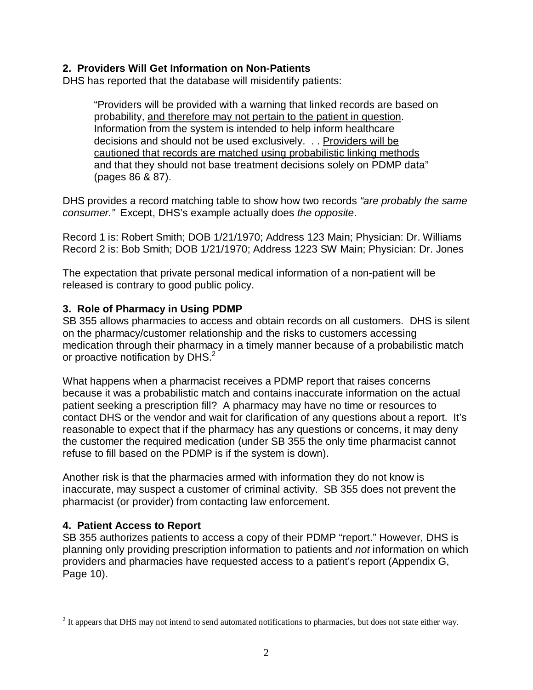## **2. Providers Will Get Information on Non-Patients**

DHS has reported that the database will misidentify patients:

"Providers will be provided with a warning that linked records are based on probability, and therefore may not pertain to the patient in question. Information from the system is intended to help inform healthcare decisions and should not be used exclusively. . . Providers will be cautioned that records are matched using probabilistic linking methods and that they should not base treatment decisions solely on PDMP data" (pages 86 & 87).

DHS provides a record matching table to show how two records *"are probably the same consumer."* Except, DHS's example actually does *the opposite*.

Record 1 is: Robert Smith; DOB 1/21/1970; Address 123 Main; Physician: Dr. Williams Record 2 is: Bob Smith; DOB 1/21/1970; Address 1223 SW Main; Physician: Dr. Jones

The expectation that private personal medical information of a non-patient will be released is contrary to good public policy.

### **3. Role of Pharmacy in Using PDMP**

SB 355 allows pharmacies to access and obtain records on all customers. DHS is silent on the pharmacy/customer relationship and the risks to customers accessing medication through their pharmacy in a timely manner because of a probabilistic match or proactive notification by DHS.<sup>2</sup>

What happens when a pharmacist receives a PDMP report that raises concerns because it was a probabilistic match and contains inaccurate information on the actual patient seeking a prescription fill? A pharmacy may have no time or resources to contact DHS or the vendor and wait for clarification of any questions about a report. It's reasonable to expect that if the pharmacy has any questions or concerns, it may deny the customer the required medication (under SB 355 the only time pharmacist cannot refuse to fill based on the PDMP is if the system is down).

Another risk is that the pharmacies armed with information they do not know is inaccurate, may suspect a customer of criminal activity. SB 355 does not prevent the pharmacist (or provider) from contacting law enforcement.

# **4. Patient Access to Report**

SB 355 authorizes patients to access a copy of their PDMP "report." However, DHS is planning only providing prescription information to patients and *not* information on which providers and pharmacies have requested access to a patient's report (Appendix G, Page 10).

 $\overline{a}$  $2$  It appears that DHS may not intend to send automated notifications to pharmacies, but does not state either way.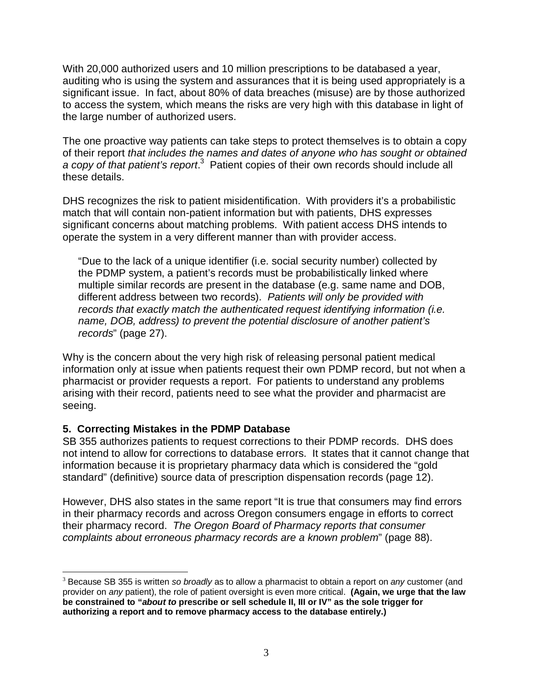With 20,000 authorized users and 10 million prescriptions to be databased a year, auditing who is using the system and assurances that it is being used appropriately is a significant issue. In fact, about 80% of data breaches (misuse) are by those authorized to access the system, which means the risks are very high with this database in light of the large number of authorized users.

The one proactive way patients can take steps to protect themselves is to obtain a copy of their report *that includes the names and dates of anyone who has sought or obtained*  a copy of that patient's report.<sup>3</sup> Patient copies of their own records should include all these details.

DHS recognizes the risk to patient misidentification. With providers it's a probabilistic match that will contain non-patient information but with patients, DHS expresses significant concerns about matching problems. With patient access DHS intends to operate the system in a very different manner than with provider access.

"Due to the lack of a unique identifier (i.e. social security number) collected by the PDMP system, a patient's records must be probabilistically linked where multiple similar records are present in the database (e.g. same name and DOB, different address between two records). *Patients will only be provided with records that exactly match the authenticated request identifying information (i.e. name, DOB, address) to prevent the potential disclosure of another patient's records*" (page 27).

Why is the concern about the very high risk of releasing personal patient medical information only at issue when patients request their own PDMP record, but not when a pharmacist or provider requests a report. For patients to understand any problems arising with their record, patients need to see what the provider and pharmacist are seeing.

# **5. Correcting Mistakes in the PDMP Database**

SB 355 authorizes patients to request corrections to their PDMP records. DHS does not intend to allow for corrections to database errors. It states that it cannot change that information because it is proprietary pharmacy data which is considered the "gold standard" (definitive) source data of prescription dispensation records (page 12).

However, DHS also states in the same report "It is true that consumers may find errors in their pharmacy records and across Oregon consumers engage in efforts to correct their pharmacy record. *The Oregon Board of Pharmacy reports that consumer complaints about erroneous pharmacy records are a known problem*" (page 88).

 $\overline{a}$ <sup>3</sup> Because SB 355 is written *so broadly* as to allow a pharmacist to obtain a report on *any* customer (and provider on *any* patient), the role of patient oversight is even more critical. **(Again, we urge that the law be constrained to "***about to* **prescribe or sell schedule II, III or IV" as the sole trigger for authorizing a report and to remove pharmacy access to the database entirely.)**